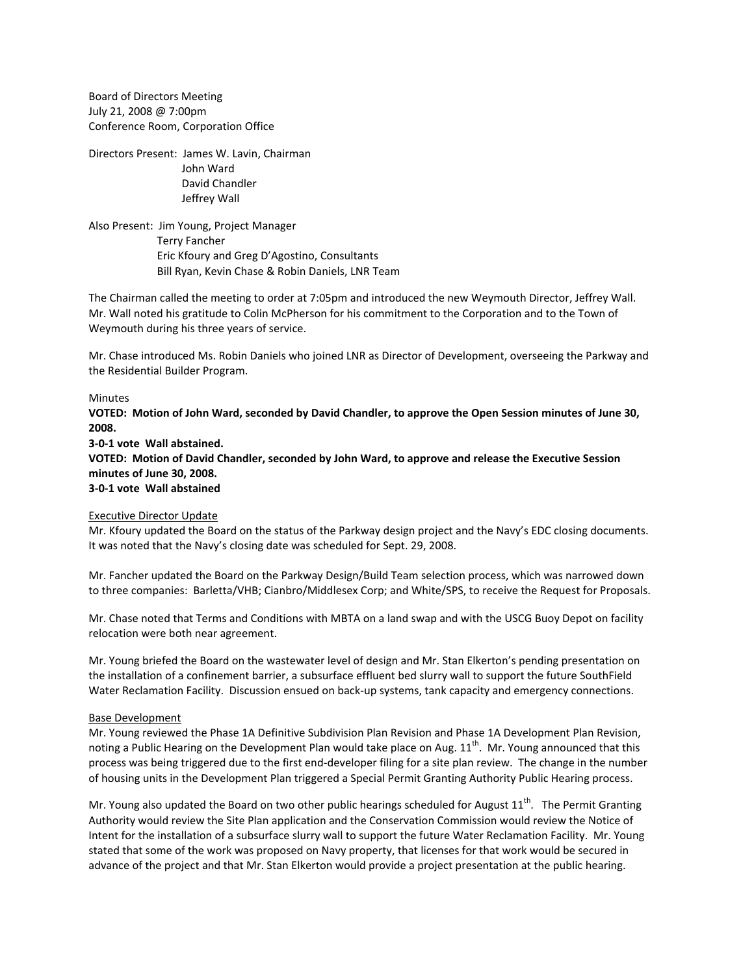Board of Directors Meeting July 21, 2008 @ 7:00pm Conference Room, Corporation Office

Directors Present: James W. Lavin, Chairman John Ward David Chandler Jeffrey Wall

Also Present: Jim Young, Project Manager Terry Fancher Eric Kfoury and Greg D'Agostino, Consultants Bill Ryan, Kevin Chase & Robin Daniels, LNR Team

The Chairman called the meeting to order at 7:05pm and introduced the new Weymouth Director, Jeffrey Wall. Mr. Wall noted his gratitude to Colin McPherson for his commitment to the Corporation and to the Town of Weymouth during his three years of service.

Mr. Chase introduced Ms. Robin Daniels who joined LNR as Director of Development, overseeing the Parkway and the Residential Builder Program.

## Minutes

**VOTED: Motion of John Ward, seconded by David Chandler, to approve the Open Session minutes of June 30, 2008.**

**3‐0‐1 vote Wall abstained. VOTED: Motion of David Chandler, seconded by John Ward, to approve and release the Executive Session minutes of June 30, 2008. 3‐0‐1 vote Wall abstained**

## Executive Director Update

Mr. Kfoury updated the Board on the status of the Parkway design project and the Navy's EDC closing documents. It was noted that the Navy's closing date was scheduled for Sept. 29, 2008.

Mr. Fancher updated the Board on the Parkway Design/Build Team selection process, which was narrowed down to three companies: Barletta/VHB; Cianbro/Middlesex Corp; and White/SPS, to receive the Request for Proposals.

Mr. Chase noted that Terms and Conditions with MBTA on a land swap and with the USCG Buoy Depot on facility relocation were both near agreement.

Mr. Young briefed the Board on the wastewater level of design and Mr. Stan Elkerton's pending presentation on the installation of a confinement barrier, a subsurface effluent bed slurry wall to support the future SouthField Water Reclamation Facility. Discussion ensued on back-up systems, tank capacity and emergency connections.

## Base Development

Mr. Young reviewed the Phase 1A Definitive Subdivision Plan Revision and Phase 1A Development Plan Revision, noting a Public Hearing on the Development Plan would take place on Aug.  $11<sup>th</sup>$ . Mr. Young announced that this process was being triggered due to the first end‐developer filing for a site plan review. The change in the number of housing units in the Development Plan triggered a Special Permit Granting Authority Public Hearing process.

Mr. Young also updated the Board on two other public hearings scheduled for August 11<sup>th</sup>. The Permit Granting Authority would review the Site Plan application and the Conservation Commission would review the Notice of Intent for the installation of a subsurface slurry wall to support the future Water Reclamation Facility. Mr. Young stated that some of the work was proposed on Navy property, that licenses for that work would be secured in advance of the project and that Mr. Stan Elkerton would provide a project presentation at the public hearing.